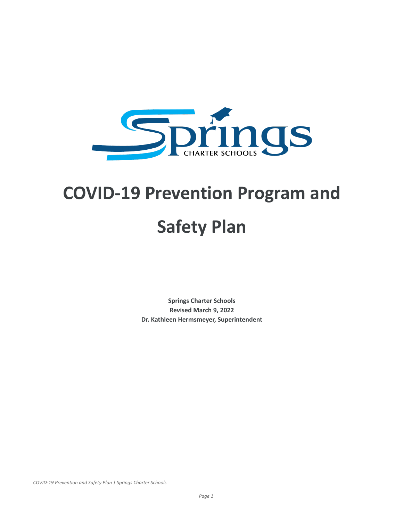

## **COVID-19 Prevention Program and**

# **Safety Plan**

**Springs Charter Schools Revised March 9, 2022 Dr. Kathleen Hermsmeyer, Superintendent**

*COVID-19 Prevention and Safety Plan | Springs Charter Schools*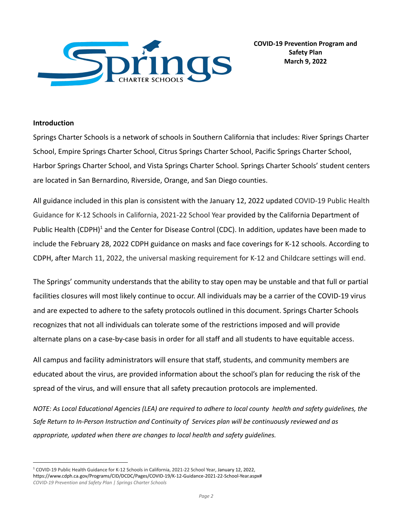

## **Introduction**

Springs Charter Schools is a network of schools in Southern California that includes: River Springs Charter School, Empire Springs Charter School, Citrus Springs Charter School, Pacific Springs Charter School, Harbor Springs Charter School, and Vista Springs Charter School. Springs Charter Schools' student centers are located in San Bernardino, Riverside, Orange, and San Diego counties.

All guidance included in this plan is consistent with the January 12, 2022 updated COVID-19 Public Health Guidance for K-12 Schools in California, 2021-22 School Year provided by the California Department of Public Health (CDPH)<sup>1</sup> and the Center for Disease Control (CDC). In addition, updates have been made to include the February 28, 2022 CDPH guidance on masks and face coverings for K-12 schools. According to CDPH, after March 11, 2022, the universal masking requirement for K-12 and Childcare settings will end.

The Springs' community understands that the ability to stay open may be unstable and that full or partial facilities closures will most likely continue to occur. All individuals may be a carrier of the COVID-19 virus and are expected to adhere to the safety protocols outlined in this document. Springs Charter Schools recognizes that not all individuals can tolerate some of the restrictions imposed and will provide alternate plans on a case-by-case basis in order for all staff and all students to have equitable access.

All campus and facility administrators will ensure that staff, students, and community members are educated about the virus, are provided information about the school's plan for reducing the risk of the spread of the virus, and will ensure that all safety precaution protocols are implemented.

NOTE: As Local Educational Agencies (LEA) are required to adhere to local county health and safety guidelines, the *Safe Return to In-Person Instruction and Continuity of Services plan will be continuously reviewed and as appropriate, updated when there are changes to local health and safety guidelines.*

<sup>1</sup> COVID-19 Public Health Guidance for K-12 Schools in California, 2021-22 School Year, January 12, 2022, https://www.cdph.ca.gov/Programs/CID/DCDC/Pages/COVID-19/K-12-Guidance-2021-22-School-Year.aspx# *COVID-19 Prevention and Safety Plan | Springs Charter Schools*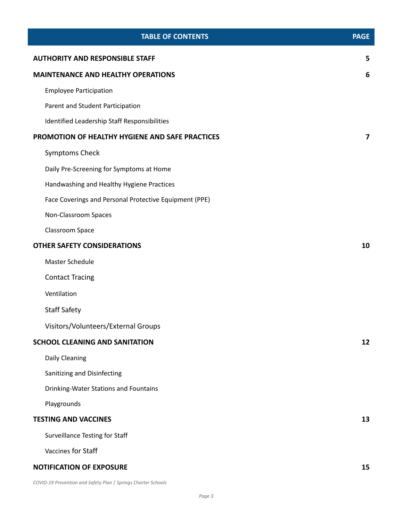| <b>TABLE OF CONTENTS</b>                               | <b>PAGE</b> |
|--------------------------------------------------------|-------------|
| <b>AUTHORITY AND RESPONSIBLE STAFF</b>                 | 5           |
| <b>MAINTENANCE AND HEALTHY OPERATIONS</b>              | 6           |
| <b>Employee Participation</b>                          |             |
| Parent and Student Participation                       |             |
| Identified Leadership Staff Responsibilities           |             |
| PROMOTION OF HEALTHY HYGIENE AND SAFE PRACTICES        | 7           |
| <b>Symptoms Check</b>                                  |             |
| Daily Pre-Screening for Symptoms at Home               |             |
| Handwashing and Healthy Hygiene Practices              |             |
| Face Coverings and Personal Protective Equipment (PPE) |             |
| Non-Classroom Spaces                                   |             |
| Classroom Space                                        |             |
| <b>OTHER SAFETY CONSIDERATIONS</b>                     | 10          |
| Master Schedule                                        |             |
| <b>Contact Tracing</b>                                 |             |
| Ventilation                                            |             |
| <b>Staff Safety</b>                                    |             |
| Visitors/Volunteers/External Groups                    |             |
| <b>SCHOOL CLEANING AND SANITATION</b>                  | 12          |
| Daily Cleaning                                         |             |
| Sanitizing and Disinfecting                            |             |
| Drinking-Water Stations and Fountains                  |             |
| Playgrounds                                            |             |
| <b>TESTING AND VACCINES</b>                            | 13          |
| <b>Surveillance Testing for Staff</b>                  |             |
| Vaccines for Staff                                     |             |
| <b>NOTIFICATION OF EXPOSURE</b>                        | 15          |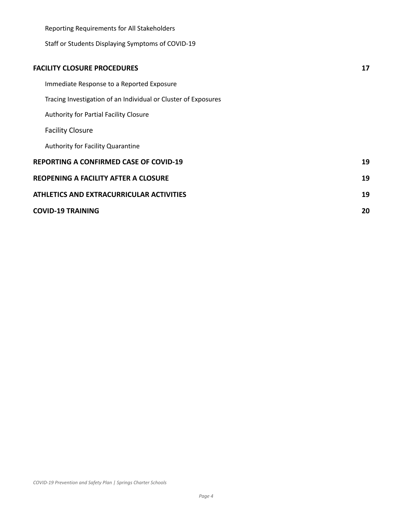| Reporting Requirements for All Stakeholders |                                                                |    |
|---------------------------------------------|----------------------------------------------------------------|----|
|                                             | Staff or Students Displaying Symptoms of COVID-19              |    |
|                                             |                                                                |    |
|                                             | <b>FACILITY CLOSURE PROCEDURES</b>                             | 17 |
|                                             | Immediate Response to a Reported Exposure                      |    |
|                                             | Tracing Investigation of an Individual or Cluster of Exposures |    |
|                                             | Authority for Partial Facility Closure                         |    |
|                                             | <b>Facility Closure</b>                                        |    |
|                                             | Authority for Facility Quarantine                              |    |
|                                             | <b>REPORTING A CONFIRMED CASE OF COVID-19</b>                  | 19 |
|                                             | <b>REOPENING A FACILITY AFTER A CLOSURE</b>                    | 19 |
|                                             | ATHLETICS AND EXTRACURRICULAR ACTIVITIES                       | 19 |
|                                             | <b>COVID-19 TRAINING</b>                                       | 20 |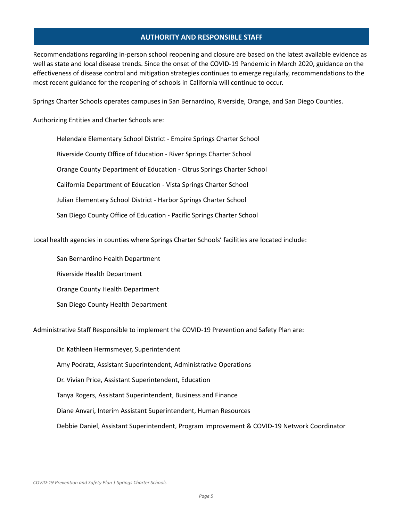## **AUTHORITY AND RESPONSIBLE STAFF**

<span id="page-4-0"></span>Recommendations regarding in-person school reopening and closure are based on the latest available evidence as well as state and local disease trends. Since the onset of the COVID-19 Pandemic in March 2020, guidance on the effectiveness of disease control and mitigation strategies continues to emerge regularly, recommendations to the most recent guidance for the reopening of schools in California will continue to occur.

Springs Charter Schools operates campuses in San Bernardino, Riverside, Orange, and San Diego Counties.

Authorizing Entities and Charter Schools are:

Helendale Elementary School District - Empire Springs Charter School Riverside County Office of Education - River Springs Charter School Orange County Department of Education - Citrus Springs Charter School California Department of Education - Vista Springs Charter School Julian Elementary School District - Harbor Springs Charter School San Diego County Office of Education - Pacific Springs Charter School

Local health agencies in counties where Springs Charter Schools' facilities are located include:

San Bernardino Health Department

Riverside Health Department

Orange County Health Department

San Diego County Health Department

Administrative Staff Responsible to implement the COVID-19 Prevention and Safety Plan are:

Dr. Kathleen Hermsmeyer, Superintendent Amy Podratz, Assistant Superintendent, Administrative Operations Dr. Vivian Price, Assistant Superintendent, Education Tanya Rogers, Assistant Superintendent, Business and Finance Diane Anvari, Interim Assistant Superintendent, Human Resources Debbie Daniel, Assistant Superintendent, Program Improvement & COVID-19 Network Coordinator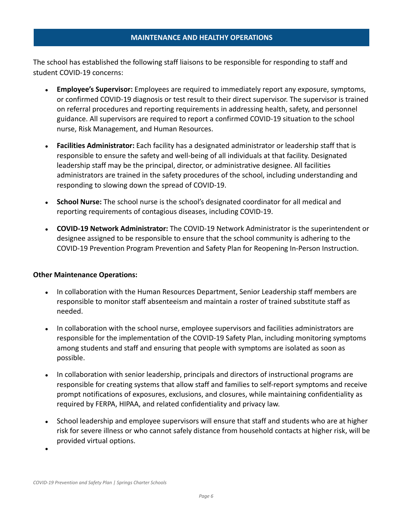## **MAINTENANCE AND HEALTHY OPERATIONS**

<span id="page-5-0"></span>The school has established the following staff liaisons to be responsible for responding to staff and student COVID-19 concerns:

- **Employee's Supervisor:** Employees are required to immediately report any exposure, symptoms, or confirmed COVID-19 diagnosis or test result to their direct supervisor. The supervisor is trained on referral procedures and reporting requirements in addressing health, safety, and personnel guidance. All supervisors are required to report a confirmed COVID-19 situation to the school nurse, Risk Management, and Human Resources.
- **Facilities Administrator:** Each facility has a designated administrator or leadership staff that is responsible to ensure the safety and well-being of all individuals at that facility. Designated leadership staff may be the principal, director, or administrative designee. All facilities administrators are trained in the safety procedures of the school, including understanding and responding to slowing down the spread of COVID-19.
- **School Nurse:** The school nurse is the school's designated coordinator for all medical and reporting requirements of contagious diseases, including COVID-19.
- **COVID-19 Network Administrator:** The COVID-19 Network Administrator is the superintendent or designee assigned to be responsible to ensure that the school community is adhering to the COVID-19 Prevention Program Prevention and Safety Plan for Reopening In-Person Instruction.

## **Other Maintenance Operations:**

- In collaboration with the Human Resources Department, Senior Leadership staff members are responsible to monitor staff absenteeism and maintain a roster of trained substitute staff as needed.
- In collaboration with the school nurse, employee supervisors and facilities administrators are responsible for the implementation of the COVID-19 Safety Plan, including monitoring symptoms among students and staff and ensuring that people with symptoms are isolated as soon as possible.
- In collaboration with senior leadership, principals and directors of instructional programs are responsible for creating systems that allow staff and families to self-report symptoms and receive prompt notifications of exposures, exclusions, and closures, while maintaining confidentiality as required by FERPA, HIPAA, and related confidentiality and privacy law.
- School leadership and employee supervisors will ensure that staff and students who are at higher risk for severe illness or who cannot safely distance from household contacts at higher risk, will be provided virtual options.

<span id="page-5-1"></span>●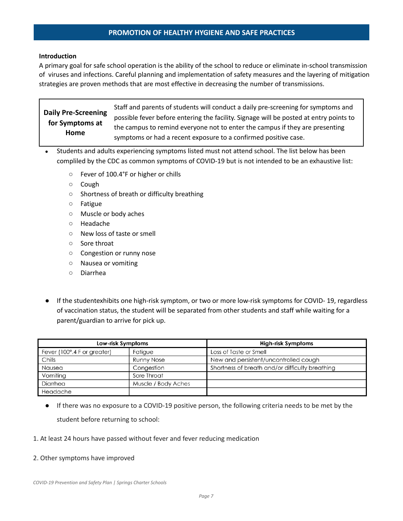## **PROMOTION OF HEALTHY HYGIENE AND SAFE PRACTICES**

## <span id="page-6-1"></span><span id="page-6-0"></span>**Introduction**

A primary goal for safe school operation is the ability of the school to reduce or eliminate in-school transmission of viruses and infections. Careful planning and implementation of safety measures and the layering of mitigation strategies are proven methods that are most effective in decreasing the number of transmissions.

**Daily Pre-Screening for Symptoms at Home** Staff and parents of students will conduct a daily pre-screening for symptoms and possible fever before entering the facility. Signage will be posted at entry points to the campus to remind everyone not to enter the campus if they are presenting symptoms or had a recent exposure to a confirmed positive case.

- <span id="page-6-2"></span>Students and adults experiencing symptoms listed must not attend school. The list below has been compliled by the CDC as common symptoms of COVID-19 but is not intended to be an exhaustive list:
	- Fever of 100.4°F or higher or chills
	- Cough
	- Shortness of breath or difficulty breathing
	- Fatigue
	- Muscle or body aches
	- Headache
	- New loss of taste or smell
	- Sore throat
	- Congestion or runny nose
	- Nausea or vomiting
	- Diarrhea
- If the studentexhibits one high-risk symptom, or two or more low-risk symptoms for COVID- 19, regardless of vaccination status, the student will be separated from other students and staff while waiting for a parent/guardian to arrive for pick up.

| Low-risk Symptoms           |                     | High-risk Symptoms                              |  |
|-----------------------------|---------------------|-------------------------------------------------|--|
| Fever (100°.4 F or greater) | Fatigue             | Loss of Taste or Smell                          |  |
| Chills                      | Runny Nose          | New and persistent/uncontrolled cough           |  |
| Nausea                      | Congestion          | Shortness of breath and/or difficulty breathing |  |
| Vomiting                    | Sore Throat         |                                                 |  |
| Diarrhea                    | Muscle / Body Aches |                                                 |  |
| Headache                    |                     |                                                 |  |

● If there was no exposure to a COVID-19 positive person, the following criteria needs to be met by the student before returning to school:

## 1. At least 24 hours have passed without fever and fever reducing medication

### 2. Other symptoms have improved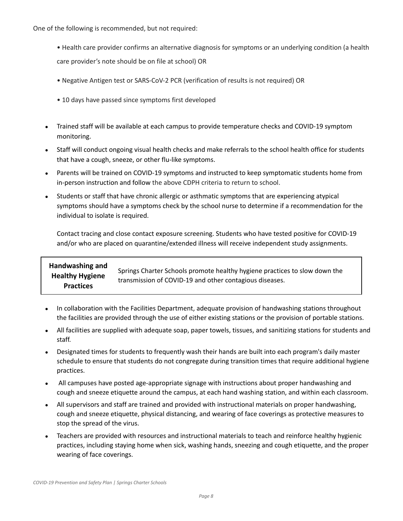One of the following is recommended, but not required:

- Health care provider confirms an alternative diagnosis for symptoms or an underlying condition (a health care provider's note should be on file at school) OR
- Negative Antigen test or SARS-CoV-2 PCR (verification of results is not required) OR
- 10 days have passed since symptoms first developed
- Trained staff will be available at each campus to provide temperature checks and COVID-19 symptom monitoring.
- Staff will conduct ongoing visual health checks and make referrals to the school health office for students that have a cough, sneeze, or other flu-like symptoms.
- Parents will be trained on COVID-19 symptoms and instructed to keep symptomatic students home from in-person instruction and follow the above CDPH criteria to return to school.
- Students or staff that have chronic allergic or asthmatic symptoms that are experiencing atypical symptoms should have a symptoms check by the school nurse to determine if a recommendation for the individual to isolate is required.

Contact tracing and close contact exposure screening. Students who have tested positive for COVID-19 and/or who are placed on quarantine/extended illness will receive independent study assignments.

#### <span id="page-7-0"></span>**Handwashing and Healthy Hygiene Practices** Springs Charter Schools promote healthy hygiene practices to slow down the transmission of COVID-19 and other contagious diseases.

- In collaboration with the Facilities Department, adequate provision of handwashing stations throughout the facilities are provided through the use of either existing stations or the provision of portable stations.
- All facilities are supplied with adequate soap, paper towels, tissues, and sanitizing stations for students and staff.
- Designated times for students to frequently wash their hands are built into each program's daily master schedule to ensure that students do not congregate during transition times that require additional hygiene practices.
- All campuses have posted age-appropriate signage with instructions about proper handwashing and cough and sneeze etiquette around the campus, at each hand washing station, and within each classroom.
- All supervisors and staff are trained and provided with instructional materials on proper handwashing, cough and sneeze etiquette, physical distancing, and wearing of face coverings as protective measures to stop the spread of the virus.
- Teachers are provided with resources and instructional materials to teach and reinforce healthy hygienic practices, including staying home when sick, washing hands, sneezing and cough etiquette, and the proper wearing of face coverings.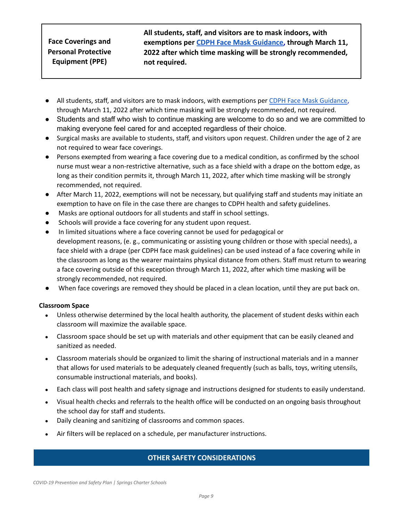## <span id="page-8-0"></span>**Face Coverings and Personal Protective Equipment (PPE)**

**All students, staff, and visitors are to mask indoors, with exemptions per [CDPH Face Mask Guidance,](https://www.cdph.ca.gov/Programs/CID/DCDC/Pages/COVID-19/guidance-for-face-coverings.aspx) through March 11, 2022 after which time masking will be strongly recommended, not required.**

- All students, staff, and visitors are to mask indoors, with exemptions per CDPH Face Mask [Guidance](https://www.cdph.ca.gov/Programs/CID/DCDC/Pages/COVID-19/guidance-for-face-coverings.aspx), through March 11, 2022 after which time masking will be strongly recommended, not required.
- Students and staff who wish to continue masking are welcome to do so and we are committed to making everyone feel cared for and accepted regardless of their choice.
- Surgical masks are available to students, staff, and visitors upon request. Children under the age of 2 are not required to wear face coverings.
- Persons exempted from wearing a face covering due to a medical condition, as confirmed by the school nurse must wear a non-restrictive alternative, such as a face shield with a drape on the bottom edge, as long as their condition permits it, through March 11, 2022, after which time masking will be strongly recommended, not required.
- After March 11, 2022, exemptions will not be necessary, but qualifying staff and students may initiate an exemption to have on file in the case there are changes to CDPH health and safety guidelines.
- Masks are optional outdoors for all students and staff in school settings.
- Schools will provide a face covering for any student upon request.
- In limited situations where a face covering cannot be used for pedagogical or development reasons, (e. g., communicating or assisting young children or those with special needs), a face shield with a drape (per CDPH face mask guidelines) can be used instead of a face covering while in the classroom as long as the wearer maintains physical distance from others. Staff must return to wearing a face covering outside of this exception through March 11, 2022, after which time masking will be strongly recommended, not required.
- When face coverings are removed they should be placed in a clean location, until they are put back on.

## <span id="page-8-1"></span>**Classroom Space**

- Unless otherwise determined by the local health authority, the placement of student desks within each classroom will maximize the available space.
- Classroom space should be set up with materials and other equipment that can be easily cleaned and sanitized as needed.
- Classroom materials should be organized to limit the sharing of instructional materials and in a manner that allows for used materials to be adequately cleaned frequently (such as balls, toys, writing utensils, consumable instructional materials, and books).
- Each class will post health and safety signage and instructions designed for students to easily understand.
- Visual health checks and referrals to the health office will be conducted on an ongoing basis throughout the school day for staff and students.
- Daily cleaning and sanitizing of classrooms and common spaces.
- <span id="page-8-2"></span>● Air filters will be replaced on a schedule, per manufacturer instructions.

## **OTHER SAFETY CONSIDERATIONS**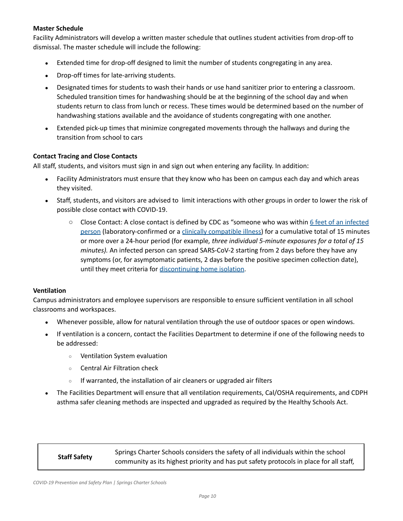## <span id="page-9-0"></span>**Master Schedule**

Facility Administrators will develop a written master schedule that outlines student activities from drop-off to dismissal. The master schedule will include the following:

- Extended time for drop-off designed to limit the number of students congregating in any area.
- Drop-off times for late-arriving students.
- Designated times for students to wash their hands or use hand sanitizer prior to entering a classroom. Scheduled transition times for handwashing should be at the beginning of the school day and when students return to class from lunch or recess. These times would be determined based on the number of handwashing stations available and the avoidance of students congregating with one another.
- Extended pick-up times that minimize congregated movements through the hallways and during the transition from school to cars

## <span id="page-9-1"></span>**Contact Tracing and Close Contacts**

All staff, students, and visitors must sign in and sign out when entering any facility. In addition:

- Facility Administrators must ensure that they know who has been on campus each day and which areas they visited.
- Staff, students, and visitors are advised to limit interactions with other groups in order to lower the risk of possible close contact with COVID-19.
	- Close Contact: A close contact is defined by CDC as "someone who was within 6 feet of an [infected](https://www.cdc.gov/coronavirus/2019-ncov/prevent-getting-sick/prevention.html#stay6ft) [person](https://www.cdc.gov/coronavirus/2019-ncov/prevent-getting-sick/prevention.html#stay6ft) (laboratory-confirmed or a clinically [compatible](https://www.cdc.gov/coronavirus/2019-ncov/hcp/clinical-guidance-management-patients.html) illness) for a cumulative total of 15 minutes or more over a 24-hour period (for example*, three individual 5-minute exposures for a total of 15 minutes).* An infected person can spread SARS-CoV-2 starting from 2 days before they have any symptoms (or, for asymptomatic patients, 2 days before the positive specimen collection date), until they meet criteria for [discontinuing](https://www.cdc.gov/coronavirus/2019-ncov/hcp/duration-isolation.html) home isolation.

## <span id="page-9-2"></span>**Ventilation**

Campus administrators and employee supervisors are responsible to ensure sufficient ventilation in all school classrooms and workspaces.

- Whenever possible, allow for natural ventilation through the use of outdoor spaces or open windows.
- If ventilation is a concern, contact the Facilities Department to determine if one of the following needs to be addressed:
	- Ventilation System evaluation
	- Central Air Filtration check
	- If warranted, the installation of air cleaners or upgraded air filters
- The Facilities Department will ensure that all ventilation requirements, Cal/OSHA requirements, and CDPH asthma safer cleaning methods are inspected and upgraded as required by the Healthy Schools Act.

<span id="page-9-3"></span>**Staff Safety** Springs Charter Schools considers the safety of all individuals within the school community as its highest priority and has put safety protocols in place for all staff,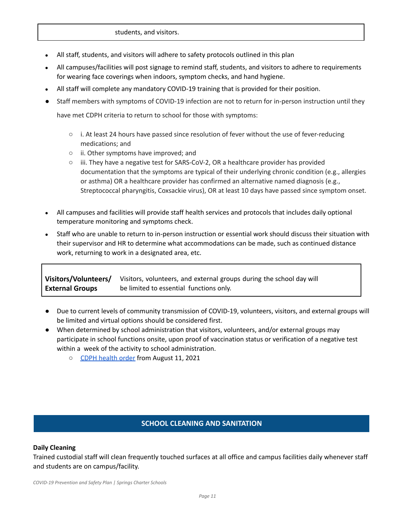## students, and visitors.

- All staff, students, and visitors will adhere to safety protocols outlined in this plan
- All campuses/facilities will post signage to remind staff, students, and visitors to adhere to requirements for wearing face coverings when indoors, symptom checks, and hand hygiene.
- All staff will complete any mandatory COVID-19 training that is provided for their position.
- Staff members with symptoms of COVID-19 infection are not to return for in-person instruction until they have met CDPH criteria to return to school for those with symptoms:
	- $\circ$  i. At least 24 hours have passed since resolution of fever without the use of fever-reducing medications; and
	- ii. Other symptoms have improved; and
	- iii. They have a negative test for SARS-CoV-2, OR a healthcare provider has provided documentation that the symptoms are typical of their underlying chronic condition (e.g., allergies or asthma) OR a healthcare provider has confirmed an alternative named diagnosis (e.g., Streptococcal pharyngitis, Coxsackie virus), OR at least 10 days have passed since symptom onset.
- All campuses and facilities will provide staff health services and protocols that includes daily optional temperature monitoring and symptoms check.
- Staff who are unable to return to in-person instruction or essential work should discuss their situation with their supervisor and HR to determine what accommodations can be made, such as continued distance work, returning to work in a designated area, etc.

**Visitors/Volunteers/ External Groups** Visitors, volunteers, and external groups during the school day will be limited to essential functions only.

- Due to current levels of community transmission of COVID-19, volunteers, visitors, and external groups will be limited and virtual options should be considered first.
- When determined by school administration that visitors, volunteers, and/or external groups may participate in school functions onsite, upon proof of vaccination status or verification of a negative test within a week of the activity to school administration.
	- CDPH [health](https://www.cdph.ca.gov/Programs/CID/DCDC/Pages/COVID-19/Order-of-the-State-Public-Health-Officer-Vaccine-Verification-for-Workers-in-Schools.aspx) order from August 11, 2021

## **SCHOOL CLEANING AND SANITATION**

## <span id="page-10-1"></span><span id="page-10-0"></span>**Daily Cleaning**

Trained custodial staff will clean frequently touched surfaces at all office and campus facilities daily whenever staff and students are on campus/facility.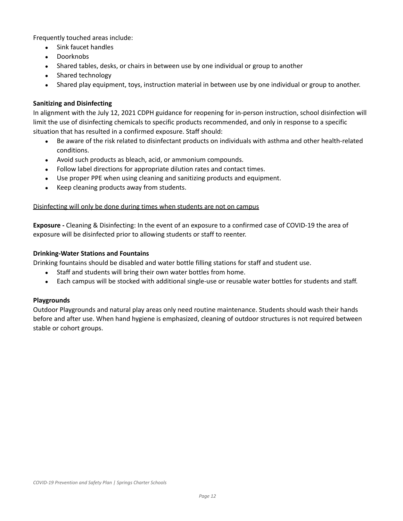Frequently touched areas include:

- Sink faucet handles
- Doorknobs
- Shared tables, desks, or chairs in between use by one individual or group to another
- Shared technology
- Shared play equipment, toys, instruction material in between use by one individual or group to another.

## <span id="page-11-0"></span>**Sanitizing and Disinfecting**

In alignment with the July 12, 2021 CDPH guidance for reopening for in-person instruction, school disinfection will limit the use of disinfecting chemicals to specific products recommended, and only in response to a specific situation that has resulted in a confirmed exposure. Staff should:

- Be aware of the risk related to disinfectant products on individuals with asthma and other health-related conditions.
- Avoid such products as bleach, acid, or ammonium compounds.
- Follow label directions for appropriate dilution rates and contact times.
- Use proper PPE when using cleaning and sanitizing products and equipment.
- Keep cleaning products away from students.

## Disinfecting will only be done during times when students are not on campus

**Exposure -** Cleaning & Disinfecting: In the event of an exposure to a confirmed case of COVID-19 the area of exposure will be disinfected prior to allowing students or staff to reenter.

## <span id="page-11-1"></span>**Drinking-Water Stations and Fountains**

Drinking fountains should be disabled and water bottle filling stations for staff and student use.

- Staff and students will bring their own water bottles from home.
- Each campus will be stocked with additional single-use or reusable water bottles for students and staff.

## <span id="page-11-2"></span>**Playgrounds**

Outdoor Playgrounds and natural play areas only need routine maintenance. Students should wash their hands before and after use. When hand hygiene is emphasized, cleaning of outdoor structures is not required between stable or cohort groups.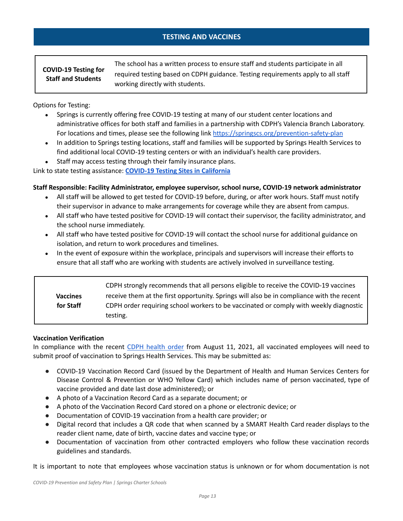## **TESTING AND VACCINES**

## <span id="page-12-1"></span><span id="page-12-0"></span>**COVID-19 Testing for Staff and Students**

The school has a written process to ensure staff and students participate in all required testing based on CDPH guidance. Testing requirements apply to all staff working directly with students.

Options for Testing:

- Springs is currently offering free COVID-19 testing at many of our student center locations and administrative offices for both staff and families in a partnership with CDPH's Valencia Branch Laboratory. For locations and times, please see the following link <https://springscs.org/prevention-safety-plan>
- In addition to Springs testing locations, staff and families will be supported by Springs Health Services to find additional local COVID-19 testing centers or with an individual's health care providers.

• Staff may access testing through their family insurance plans.

Link to state testing assistance: **COVID-19 Testing Sites in [California](https://www.arcgis.com/apps/Nearby/index.html?appid=43118dc0d5d348d8ab20a81967a15401&distance=10&find=97389%252C%2520Tangent%252C%2520Oregon)**

## **Staff Responsible: Facility Administrator, employee supervisor, school nurse, COVID-19 network administrator**

- All staff will be allowed to get tested for COVID-19 before, during, or after work hours. Staff must notify their supervisor in advance to make arrangements for coverage while they are absent from campus.
- All staff who have tested positive for COVID-19 will contact their supervisor, the facility administrator, and the school nurse immediately.
- All staff who have tested positive for COVID-19 will contact the school nurse for additional guidance on isolation, and return to work procedures and timelines.
- In the event of exposure within the workplace, principals and supervisors will increase their efforts to ensure that all staff who are working with students are actively involved in surveillance testing.

<span id="page-12-3"></span><span id="page-12-2"></span>

|                 | CDPH strongly recommends that all persons eligible to receive the COVID-19 vaccines       |
|-----------------|-------------------------------------------------------------------------------------------|
| <b>Vaccines</b> | receive them at the first opportunity. Springs will also be in compliance with the recent |
| for Staff       | CDPH order requiring school workers to be vaccinated or comply with weekly diagnostic     |
|                 | testing.                                                                                  |

## **Vaccination Verification**

In compliance with the recent CDPH [health](https://www.cdph.ca.gov/Programs/CID/DCDC/Pages/COVID-19/Order-of-the-State-Public-Health-Officer-Vaccine-Verification-for-Workers-in-Schools.aspx) order from August 11, 2021, all vaccinated employees will need to submit proof of vaccination to Springs Health Services. This may be submitted as:

- COVID-19 Vaccination Record Card (issued by the Department of Health and Human Services Centers for Disease Control & Prevention or WHO Yellow Card) which includes name of person vaccinated, type of vaccine provided and date last dose administered); or
- A photo of a Vaccination Record Card as a separate document; or
- A photo of the Vaccination Record Card stored on a phone or electronic device; or
- Documentation of COVID-19 vaccination from a health care provider; or
- Digital record that includes a QR code that when scanned by a SMART Health Card reader displays to the reader client name, date of birth, vaccine dates and vaccine type; or
- Documentation of vaccination from other contracted employers who follow these vaccination records guidelines and standards.

It is important to note that employees whose vaccination status is unknown or for whom documentation is not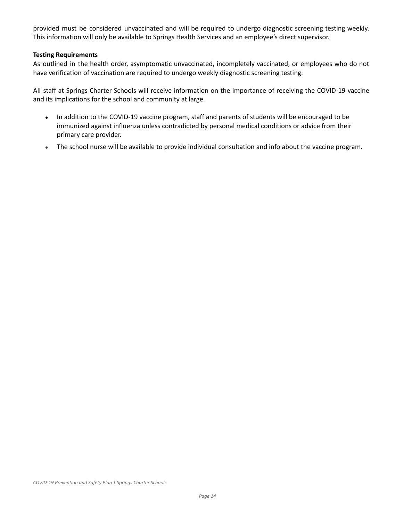provided must be considered unvaccinated and will be required to undergo diagnostic screening testing weekly. This information will only be available to Springs Health Services and an employee's direct supervisor.

## **Testing Requirements**

As outlined in the health order, asymptomatic unvaccinated, incompletely vaccinated, or employees who do not have verification of vaccination are required to undergo weekly diagnostic screening testing.

All staff at Springs Charter Schools will receive information on the importance of receiving the COVID-19 vaccine and its implications for the school and community at large.

- In addition to the COVID-19 vaccine program, staff and parents of students will be encouraged to be immunized against influenza unless contradicted by personal medical conditions or advice from their primary care provider.
- The school nurse will be available to provide individual consultation and info about the vaccine program.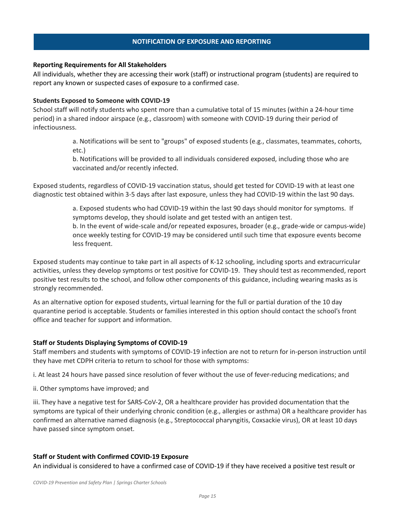## **NOTIFICATION OF EXPOSURE AND REPORTING**

## <span id="page-14-1"></span><span id="page-14-0"></span>**Reporting Requirements for All Stakeholders**

All individuals, whether they are accessing their work (staff) or instructional program (students) are required to report any known or suspected cases of exposure to a confirmed case.

## **Students Exposed to Someone with COVID-19**

School staff will notify students who spent more than a cumulative total of 15 minutes (within a 24-hour time period) in a shared indoor airspace (e.g., classroom) with someone with COVID-19 during their period of infectiousness.

> a. Notifications will be sent to "groups" of exposed students (e.g., classmates, teammates, cohorts, etc.)

b. Notifications will be provided to all individuals considered exposed, including those who are vaccinated and/or recently infected.

Exposed students, regardless of COVID-19 vaccination status, should get tested for COVID-19 with at least one diagnostic test obtained within 3-5 days after last exposure, unless they had COVID-19 within the last 90 days.

> a. Exposed students who had COVID-19 within the last 90 days should monitor for symptoms. If symptoms develop, they should isolate and get tested with an antigen test. b. In the event of wide-scale and/or repeated exposures, broader (e.g., grade-wide or campus-wide) once weekly testing for COVID-19 may be considered until such time that exposure events become less frequent.

Exposed students may continue to take part in all aspects of K-12 schooling, including sports and extracurricular activities, unless they develop symptoms or test positive for COVID-19. They should test as recommended, report positive test results to the school, and follow other components of this guidance, including wearing masks as is strongly recommended.

As an alternative option for exposed students, virtual learning for the full or partial duration of the 10 day quarantine period is acceptable. Students or families interested in this option should contact the school's front office and teacher for support and information.

## <span id="page-14-2"></span>**Staff or Students Displaying Symptoms of COVID-19**

Staff members and students with symptoms of COVID-19 infection are not to return for in-person instruction until they have met CDPH criteria to return to school for those with symptoms:

i. At least 24 hours have passed since resolution of fever without the use of fever-reducing medications; and

ii. Other symptoms have improved; and

iii. They have a negative test for SARS-CoV-2, OR a healthcare provider has provided documentation that the symptoms are typical of their underlying chronic condition (e.g., allergies or asthma) OR a healthcare provider has confirmed an alternative named diagnosis (e.g., Streptococcal pharyngitis, Coxsackie virus), OR at least 10 days have passed since symptom onset.

### **Staff or Student with Confirmed COVID-19 Exposure**

An individual is considered to have a confirmed case of COVID-19 if they have received a positive test result or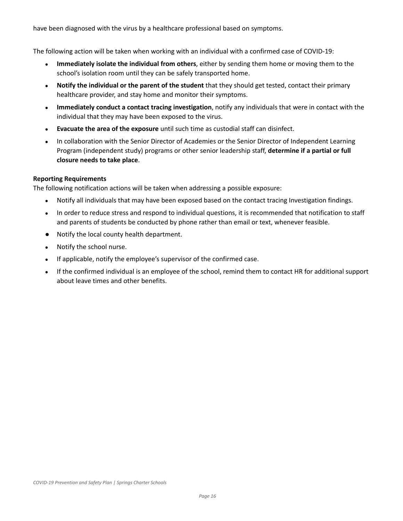have been diagnosed with the virus by a healthcare professional based on symptoms.

The following action will be taken when working with an individual with a confirmed case of COVID-19:

- **Immediately isolate the individual from others**, either by sending them home or moving them to the school's isolation room until they can be safely transported home.
- **Notify the individual or the parent of the student** that they should get tested, contact their primary healthcare provider, and stay home and monitor their symptoms.
- **Immediately conduct a contact tracing investigation**, notify any individuals that were in contact with the individual that they may have been exposed to the virus.
- **Evacuate the area of the exposure** until such time as custodial staff can disinfect.
- In collaboration with the Senior Director of Academies or the Senior Director of Independent Learning Program (independent study) programs or other senior leadership staff, **determine if a partial or full closure needs to take place**.

## **Reporting Requirements**

The following notification actions will be taken when addressing a possible exposure:

- Notify all individuals that may have been exposed based on the contact tracing Investigation findings.
- In order to reduce stress and respond to individual questions, it is recommended that notification to staff and parents of students be conducted by phone rather than email or text, whenever feasible.
- Notify the local county health department.
- Notify the school nurse.
- If applicable, notify the employee's supervisor of the confirmed case.
- If the confirmed individual is an employee of the school, remind them to contact HR for additional support about leave times and other benefits.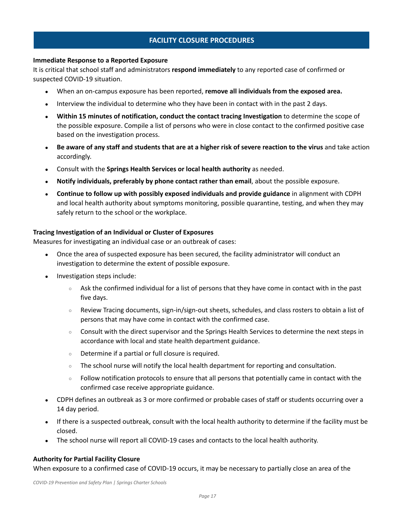## **FACILITY CLOSURE PROCEDURES**

### <span id="page-16-1"></span><span id="page-16-0"></span>**Immediate Response to a Reported Exposure**

It is critical that school staff and administrators **respond immediately** to any reported case of confirmed or suspected COVID-19 situation.

- When an on-campus exposure has been reported, **remove all individuals from the exposed area.**
- Interview the individual to determine who they have been in contact with in the past 2 days.
- **Within 15 minutes of notification, conduct the contact tracing Investigation** to determine the scope of the possible exposure. Compile a list of persons who were in close contact to the confirmed positive case based on the investigation process.
- Be aware of any staff and students that are at a higher risk of severe reaction to the virus and take action accordingly.
- Consult with the **Springs Health Services or local health authority** as needed.
- **Notify individuals, preferably by phone contact rather than email**, about the possible exposure.
- **Continue to follow up with possibly exposed individuals and provide guidance** in alignment with CDPH and local health authority about symptoms monitoring, possible quarantine, testing, and when they may safely return to the school or the workplace.

## <span id="page-16-2"></span>**Tracing Investigation of an Individual or Cluster of Exposures**

Measures for investigating an individual case or an outbreak of cases:

- Once the area of suspected exposure has been secured, the facility administrator will conduct an investigation to determine the extent of possible exposure.
- Investigation steps include:
	- $\circ$  Ask the confirmed individual for a list of persons that they have come in contact with in the past five days.
	- Review Tracing documents, sign-in/sign-out sheets, schedules, and class rosters to obtain a list of persons that may have come in contact with the confirmed case.
	- Consult with the direct supervisor and the Springs Health Services to determine the next steps in accordance with local and state health department guidance.
	- Determine if a partial or full closure is required.
	- The school nurse will notify the local health department for reporting and consultation.
	- $\circ$  Follow notification protocols to ensure that all persons that potentially came in contact with the confirmed case receive appropriate guidance.
- CDPH defines an outbreak as 3 or more confirmed or probable cases of staff or students occurring over a 14 day period.
- If there is a suspected outbreak, consult with the local health authority to determine if the facility must be closed.
- The school nurse will report all COVID-19 cases and contacts to the local health authority.

### <span id="page-16-3"></span>**Authority for Partial Facility Closure**

When exposure to a confirmed case of COVID-19 occurs, it may be necessary to partially close an area of the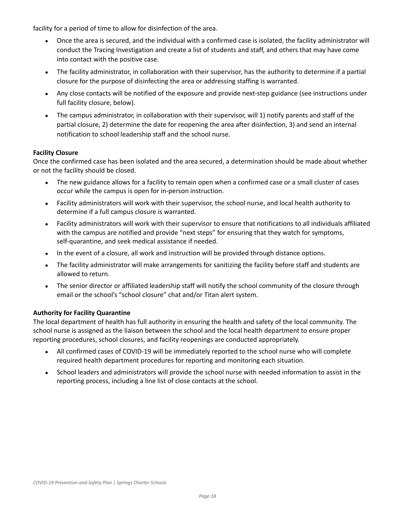facility for a period of time to allow for disinfection of the area.

- Once the area is secured, and the individual with a confirmed case is isolated, the facility administrator will conduct the Tracing Investigation and create a list of students and staff, and others that may have come into contact with the positive case.
- The facility administrator, in collaboration with their supervisor, has the authority to determine if a partial closure for the purpose of disinfecting the area or addressing staffing is warranted.
- Any close contacts will be notified of the exposure and provide next-step guidance (see instructions under full facility closure, below).
- The campus administrator, in collaboration with their supervisor, will 1) notify parents and staff of the partial closure, 2) determine the date for reopening the area after disinfection, 3) and send an internal notification to school leadership staff and the school nurse.

## <span id="page-17-0"></span>**Facility Closure**

Once the confirmed case has been isolated and the area secured, a determination should be made about whether or not the facility should be closed.

- The new guidance allows for a facility to remain open when a confirmed case or a small cluster of cases occur while the campus is open for in-person instruction.
- Facility administrators will work with their supervisor, the school nurse, and local health authority to determine if a full campus closure is warranted.
- Facility administrators will work with their supervisor to ensure that notifications to all individuals affiliated with the campus are notified and provide "next steps" for ensuring that they watch for symptoms, self-quarantine, and seek medical assistance if needed.
- In the event of a closure, all work and instruction will be provided through distance options.
- The facility administrator will make arrangements for sanitizing the facility before staff and students are allowed to return.
- The senior director or affiliated leadership staff will notify the school community of the closure through email or the school's "school closure" chat and/or Titan alert system.

## <span id="page-17-1"></span>**Authority for Facility Quarantine**

The local department of health has full authority in ensuring the health and safety of the local community. The school nurse is assigned as the liaison between the school and the local health department to ensure proper reporting procedures, school closures, and facility reopenings are conducted appropriately.

- All confirmed cases of COVID-19 will be immediately reported to the school nurse who will complete required health department procedures for reporting and monitoring each situation.
- School leaders and administrators will provide the school nurse with needed information to assist in the reporting process, including a line list of close contacts at the school.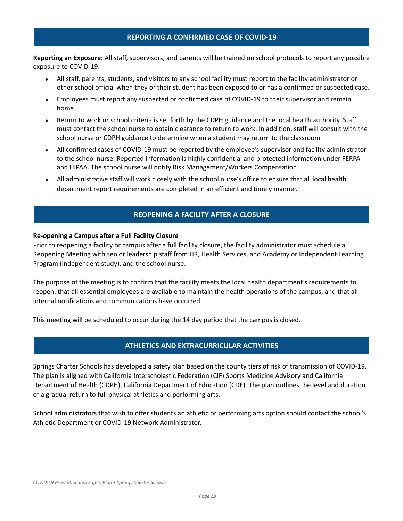## **REPORTING A CONFIRMED CASE OF COVID-19**

<span id="page-18-0"></span>**Reporting an Exposure:** All staff, supervisors, and parents will be trained on school protocols to report any possible exposure to COVID-19.

- All staff, parents, students, and visitors to any school facility must report to the facility administrator or other school official when they or their student has been exposed to or has a confirmed or suspected case.
- Employees must report any suspected or confirmed case of COVID-19 to their supervisor and remain home.
- Return to work or school criteria is set forth by the CDPH guidance and the local health authority. Staff must contact the school nurse to obtain clearance to return to work. In addition, staff will consult with the school nurse or CDPH guidance to determine when a student may return to the classroom
- All confirmed cases of COVID-19 must be reported by the employee's supervisor and facility administrator to the school nurse. Reported information is highly confidential and protected information under FERPA and HIPAA. The school nurse will notify Risk Management/Workers Compensation.
- All administrative staff will work closely with the school nurse's office to ensure that all local health department report requirements are completed in an efficient and timely manner.

## **REOPENING A FACILITY AFTER A CLOSURE**

## <span id="page-18-1"></span>**Re-opening a Campus after a Full Facility Closure**

Prior to reopening a facility or campus after a full facility closure, the facility administrator must schedule a Reopening Meeting with senior leadership staff from HR, Health Services, and Academy or Independent Learning Program (independent study), and the school nurse.

The purpose of the meeting is to confirm that the facility meets the local health department's requirements to reopen, that all essential employees are available to maintain the health operations of the campus, and that all internal notifications and communications have occurred.

This meeting will be scheduled to occur during the 14 day period that the campus is closed.

## **ATHLETICS AND EXTRACURRICULAR ACTIVITIES**

<span id="page-18-2"></span>Springs Charter Schools has developed a safety plan based on the county tiers of risk of transmission of COVID-19. The plan is aligned with California Interscholastic Federation (CIF) Sports Medicine Advisory and California Department of Health (CDPH), California Department of Education (CDE). The plan outlines the level and duration of a gradual return to full physical athletics and performing arts.

School administrators that wish to offer students an athletic or performing arts option should contact the school's Athletic Department or COVID-19 Network Administrator.